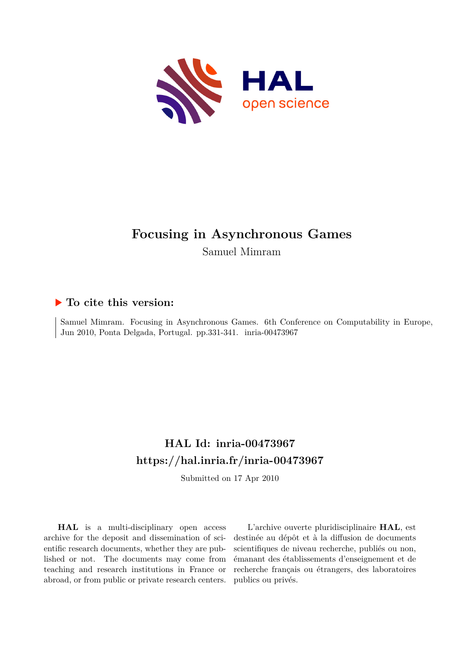

# **Focusing in Asynchronous Games**

Samuel Mimram

### **To cite this version:**

Samuel Mimram. Focusing in Asynchronous Games. 6th Conference on Computability in Europe, Jun 2010, Ponta Delgada, Portugal. pp.331-341. inria-00473967

## **HAL Id: inria-00473967 <https://hal.inria.fr/inria-00473967>**

Submitted on 17 Apr 2010

**HAL** is a multi-disciplinary open access archive for the deposit and dissemination of scientific research documents, whether they are published or not. The documents may come from teaching and research institutions in France or abroad, or from public or private research centers.

L'archive ouverte pluridisciplinaire **HAL**, est destinée au dépôt et à la diffusion de documents scientifiques de niveau recherche, publiés ou non, émanant des établissements d'enseignement et de recherche français ou étrangers, des laboratoires publics ou privés.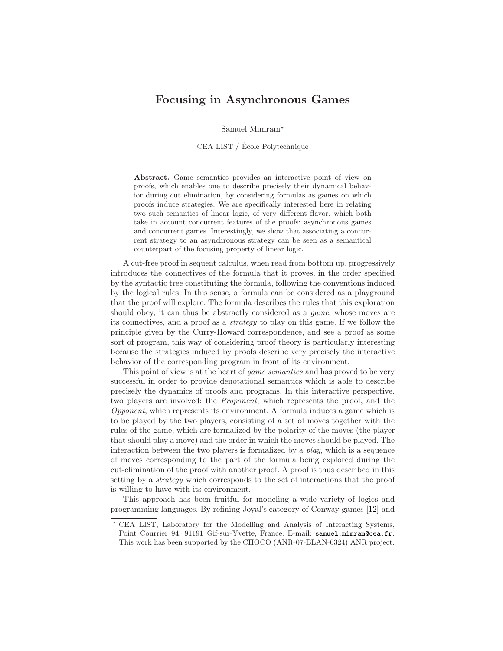#### Focusing in Asynchronous Games

Samuel Mimram<sup>\*</sup>

CEA LIST / Ecole Polytechnique ´

Abstract. Game semantics provides an interactive point of view on proofs, which enables one to describe precisely their dynamical behavior during cut elimination, by considering formulas as games on which proofs induce strategies. We are specifically interested here in relating two such semantics of linear logic, of very different flavor, which both take in account concurrent features of the proofs: asynchronous games and concurrent games. Interestingly, we show that associating a concurrent strategy to an asynchronous strategy can be seen as a semantical counterpart of the focusing property of linear logic.

A cut-free proof in sequent calculus, when read from bottom up, progressively introduces the connectives of the formula that it proves, in the order specified by the syntactic tree constituting the formula, following the conventions induced by the logical rules. In this sense, a formula can be considered as a playground that the proof will explore. The formula describes the rules that this exploration should obey, it can thus be abstractly considered as a *game*, whose moves are its connectives, and a proof as a strategy to play on this game. If we follow the principle given by the Curry-Howard correspondence, and see a proof as some sort of program, this way of considering proof theory is particularly interesting because the strategies induced by proofs describe very precisely the interactive behavior of the corresponding program in front of its environment.

This point of view is at the heart of *game semantics* and has proved to be very successful in order to provide denotational semantics which is able to describe precisely the dynamics of proofs and programs. In this interactive perspective, two players are involved: the Proponent, which represents the proof, and the Opponent, which represents its environment. A formula induces a game which is to be played by the two players, consisting of a set of moves together with the rules of the game, which are formalized by the polarity of the moves (the player that should play a move) and the order in which the moves should be played. The interaction between the two players is formalized by a play, which is a sequence of moves corresponding to the part of the formula being explored during the cut-elimination of the proof with another proof. A proof is thus described in this setting by a *strategy* which corresponds to the set of interactions that the proof is willing to have with its environment.

This approach has been fruitful for modeling a wide variety of logics and programming languages. By refining Joyal's category of Conway games [\[12\]](#page-10-0) and

<sup>⋆</sup> CEA LIST, Laboratory for the Modelling and Analysis of Interacting Systems, Point Courrier 94, 91191 Gif-sur-Yvette, France. E-mail: [samuel.mimram@cea.fr](mailto:samuel.mimram@cea.fr). This work has been supported by the CHOCO (ANR-07-BLAN-0324) ANR project.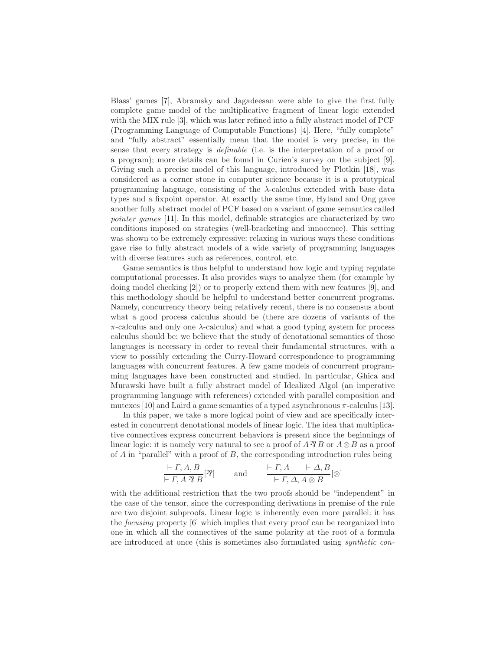Blass' games [\[7\]](#page-10-1), Abramsky and Jagadeesan were able to give the first fully complete game model of the multiplicative fragment of linear logic extended with the MIX rule [\[3\]](#page-10-2), which was later refined into a fully abstract model of PCF (Programming Language of Computable Functions) [\[4\]](#page-10-3). Here, "fully complete" and "fully abstract" essentially mean that the model is very precise, in the sense that every strategy is definable (i.e. is the interpretation of a proof or a program); more details can be found in Curien's survey on the subject [\[9\]](#page-10-4). Giving such a precise model of this language, introduced by Plotkin [\[18\]](#page-10-5), was considered as a corner stone in computer science because it is a prototypical programming language, consisting of the  $\lambda$ -calculus extended with base data types and a fixpoint operator. At exactly the same time, Hyland and Ong gave another fully abstract model of PCF based on a variant of game semantics called pointer games [\[11\]](#page-10-6). In this model, definable strategies are characterized by two conditions imposed on strategies (well-bracketing and innocence). This setting was shown to be extremely expressive: relaxing in various ways these conditions gave rise to fully abstract models of a wide variety of programming languages with diverse features such as references, control, etc.

Game semantics is thus helpful to understand how logic and typing regulate computational processes. It also provides ways to analyze them (for example by doing model checking [\[2\]](#page-10-7)) or to properly extend them with new features [\[9\]](#page-10-4), and this methodology should be helpful to understand better concurrent programs. Namely, concurrency theory being relatively recent, there is no consensus about what a good process calculus should be (there are dozens of variants of the  $\pi$ -calculus and only one  $\lambda$ -calculus) and what a good typing system for process calculus should be: we believe that the study of denotational semantics of those languages is necessary in order to reveal their fundamental structures, with a view to possibly extending the Curry-Howard correspondence to programming languages with concurrent features. A few game models of concurrent programming languages have been constructed and studied. In particular, Ghica and Murawski have built a fully abstract model of Idealized Algol (an imperative programming language with references) extended with parallel composition and mutexes [\[10\]](#page-10-8) and Laird a game semantics of a typed asynchronous  $\pi$ -calculus [\[13\]](#page-10-9).

In this paper, we take a more logical point of view and are specifically interested in concurrent denotational models of linear logic. The idea that multiplicative connectives express concurrent behaviors is present since the beginnings of linear logic: it is namely very natural to see a proof of  $A \mathcal{B}$  or  $A \otimes B$  as a proof of  $A$  in "parallel" with a proof of  $B$ , the corresponding introduction rules being

$$
\frac{\vdash \Gamma, A, B}{\vdash \Gamma, A \mathbin{\otimes} B} [\mathbb{Z}] \quad \text{and} \quad \frac{\vdash \Gamma, A \quad \vdash \Delta, B}{\vdash \Gamma, \Delta, A \otimes B} [\otimes]
$$

with the additional restriction that the two proofs should be "independent" in the case of the tensor, since the corresponding derivations in premise of the rule are two disjoint subproofs. Linear logic is inherently even more parallel: it has the focusing property [\[6\]](#page-10-10) which implies that every proof can be reorganized into one in which all the connectives of the same polarity at the root of a formula are introduced at once (this is sometimes also formulated using synthetic con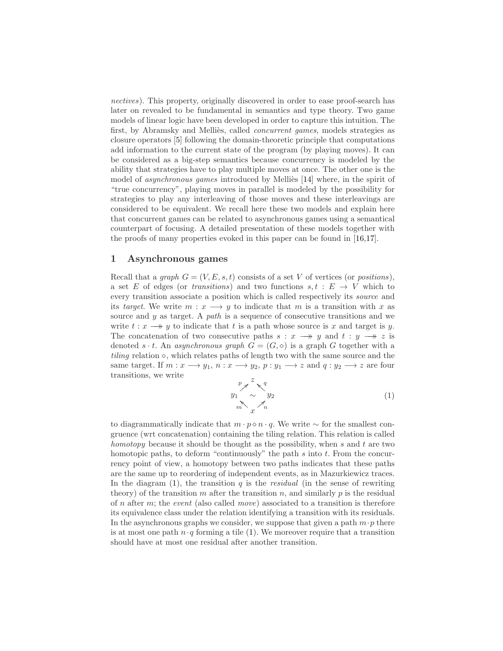nectives). This property, originally discovered in order to ease proof-search has later on revealed to be fundamental in semantics and type theory. Two game models of linear logic have been developed in order to capture this intuition. The first, by Abramsky and Melliès, called *concurrent games*, models strategies as closure operators [\[5\]](#page-10-11) following the domain-theoretic principle that computations add information to the current state of the program (by playing moves). It can be considered as a big-step semantics because concurrency is modeled by the ability that strategies have to play multiple moves at once. The other one is the model of *asynchronous games* introduced by Melliès  $[14]$  where, in the spirit of "true concurrency", playing moves in parallel is modeled by the possibility for strategies to play any interleaving of those moves and these interleavings are considered to be equivalent. We recall here these two models and explain here that concurrent games can be related to asynchronous games using a semantical counterpart of focusing. A detailed presentation of these models together with the proofs of many properties evoked in this paper can be found in [\[16,](#page-10-13)[17\]](#page-10-14).

#### 1 Asynchronous games

Recall that a *graph*  $G = (V, E, s, t)$  consists of a set V of vertices (or *positions*), a set E of edges (or transitions) and two functions  $s, t : E \to V$  which to every transition associate a position which is called respectively its source and its target. We write  $m: x \longrightarrow y$  to indicate that m is a transition with x as source and  $y$  as target. A path is a sequence of consecutive transitions and we write  $t: x \longrightarrow y$  to indicate that t is a path whose source is x and target is y. The concatenation of two consecutive paths  $s : x \longrightarrow y$  and  $t : y \longrightarrow z$  is denoted s · t. An asynchronous graph  $G = (G, \diamond)$  is a graph G together with a tiling relation  $\diamond$ , which relates paths of length two with the same source and the same target. If  $m: x \longrightarrow y_1, n: x \longrightarrow y_2, p: y_1 \longrightarrow z$  and  $q: y_2 \longrightarrow z$  are four transitions, we write

<span id="page-3-0"></span>
$$
y_1 \sim \frac{y_2}{x} \sim \frac{y_2}{y_2} \tag{1}
$$

to diagrammatically indicate that  $m \cdot p \diamond n \cdot q$ . We write  $\sim$  for the smallest congruence (wrt concatenation) containing the tiling relation. This relation is called homotopy because it should be thought as the possibility, when  $s$  and  $t$  are two homotopic paths, to deform "continuously" the path s into t. From the concurrency point of view, a homotopy between two paths indicates that these paths are the same up to reordering of independent events, as in Mazurkiewicz traces. In the diagram  $(1)$ , the transition q is the *residual* (in the sense of rewriting theory) of the transition m after the transition n, and similarly  $p$  is the residual of n after m; the event (also called move) associated to a transition is therefore its equivalence class under the relation identifying a transition with its residuals. In the asynchronous graphs we consider, we suppose that given a path  $m \cdot p$  there is at most one path  $n \cdot q$  forming a tile [\(1\)](#page-3-0). We moreover require that a transition should have at most one residual after another transition.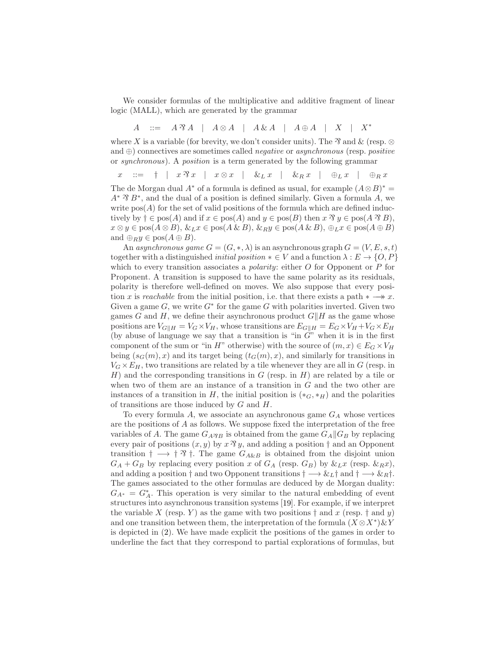We consider formulas of the multiplicative and additive fragment of linear logic (MALL), which are generated by the grammar

A ::=  $A \mathcal{R} A$  |  $A \otimes A$  |  $A \& A$  |  $A \oplus A$  |  $X$  |  $X^*$ 

where X is a variable (for brevity, we don't consider units). The  $\mathcal{R}$  and  $\&$  (resp.  $\otimes$ and  $\oplus$ ) connectives are sometimes called *negative* or *asynchronous* (resp. *positive* or synchronous). A position is a term generated by the following grammar

 $x : :=$  †  $x \mathcal{R} x$  |  $x \otimes x$  |  $\&L x$  |  $\&R x$  |  $\oplus_L x$  |  $\oplus_R x$ 

The de Morgan dual  $A^*$  of a formula is defined as usual, for example  $(A \otimes B)^* =$  $A^* \mathcal{B} B^*$ , and the dual of a position is defined similarly. Given a formula A, we write  $pos(A)$  for the set of valid positions of the formula which are defined inductively by  $\dagger \in pos(A)$  and if  $x \in pos(A)$  and  $y \in pos(B)$  then  $x \mathfrak{B} y \in pos(A \mathfrak{B})$ ,  $x \otimes y \in \text{pos}(A \otimes B), \&_{L}x \in \text{pos}(A \& B), \&_{R}y \in \text{pos}(A \& B), \oplus_{L}x \in \text{pos}(A \oplus B)$ and  $\oplus_R y \in \text{pos}(A \oplus B)$ .

An asynchronous game  $G = (G, \ast, \lambda)$  is an asynchronous graph  $G = (V, E, s, t)$ together with a distinguished *initial position*  $* \in V$  and a function  $\lambda : E \to \{O, P\}$ which to every transition associates a *polarity*: either  $O$  for Opponent or  $P$  for Proponent. A transition is supposed to have the same polarity as its residuals, polarity is therefore well-defined on moves. We also suppose that every position x is reachable from the initial position, i.e. that there exists a path  $* \rightarrow x$ . Given a game  $G$ , we write  $G^*$  for the game  $G$  with polarities inverted. Given two games G and H, we define their asynchronous product  $G||H$  as the game whose positions are  $V_{G||H} = V_G \times V_H$ , whose transitions are  $E_{G||H} = E_G \times V_H + V_G \times E_H$ (by abuse of language we say that a transition is "in  $G$ " when it is in the first component of the sum or "in H" otherwise) with the source of  $(m, x) \in E_G \times V_H$ being  $(s_G(m), x)$  and its target being  $(t_G(m), x)$ , and similarly for transitions in  $V_G \times E_H$ , two transitions are related by a tile whenever they are all in G (resp. in H) and the corresponding transitions in  $G$  (resp. in  $H$ ) are related by a tile or when two of them are an instance of a transition in  $G$  and the two other are instances of a transition in H, the initial position is  $(*_G, *_H)$  and the polarities of transitions are those induced by  $G$  and  $H$ .

To every formula  $A$ , we associate an asynchronous game  $G_A$  whose vertices are the positions of A as follows. We suppose fixed the interpretation of the free variables of A. The game  $G_{A\mathfrak{B}}$  is obtained from the game  $G_A||G_B$  by replacing every pair of positions  $(x, y)$  by  $x \mathcal{R} y$ , and adding a position  $\dagger$  and an Opponent transition †  $\rightarrow$  †  $\gamma$  †. The game  $G_{A\&B}$  is obtained from the disjoint union  $G_A + G_B$  by replacing every position x of  $G_A$  (resp.  $G_B$ ) by  $\&_L x$  (resp.  $\&_R x$ ), and adding a position  $\dagger$  and two Opponent transitions  $\dagger \longrightarrow \&_L\dagger$  and  $\dagger \longrightarrow \&_R\dagger$ . The games associated to the other formulas are deduced by de Morgan duality:  $G_{A^*} = G_A^*$ . This operation is very similar to the natural embedding of event structures into asynchronous transition systems [\[19\]](#page-10-15). For example, if we interpret the variable X (resp. Y) as the game with two positions  $\dagger$  and x (resp.  $\dagger$  and y) and one transition between them, the interpretation of the formula  $(X \otimes X^*) \& Y$ is depicted in [\(2\)](#page-5-0). We have made explicit the positions of the games in order to underline the fact that they correspond to partial explorations of formulas, but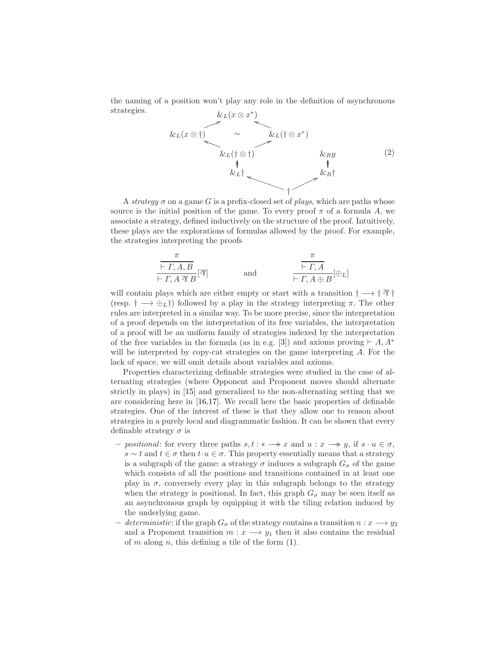the naming of a position won't play any role in the definition of asynchronous strategies.  $\&L(x \otimes x^*)$ 

<span id="page-5-0"></span>

A strategy  $\sigma$  on a game G is a prefix-closed set of plays, which are paths whose source is the initial position of the game. To every proof  $\pi$  of a formula A, we associate a strategy, defined inductively on the structure of the proof. Intuitively, these plays are the explorations of formulas allowed by the proof. For example, the strategies interpreting the proofs

$$
\frac{\pi}{\vdash \Gamma, A, B} \qquad \text{and} \qquad \frac{\pi}{\vdash \Gamma, A \oplus B} [\text{B}]
$$

will contain plays which are either empty or start with a transition  $\dagger \longrightarrow \dagger \mathcal{B}$ (resp. †  $\longrightarrow \bigoplus_L$ †) followed by a play in the strategy interpreting  $\pi$ . The other rules are interpreted in a similar way. To be more precise, since the interpretation of a proof depends on the interpretation of its free variables, the interpretation of a proof will be an uniform family of strategies indexed by the interpretation of the free variables in the formula (as in e.g. [\[3\]](#page-10-2)) and axioms proving  $\vdash A, A^*$ will be interpreted by copy-cat strategies on the game interpreting A. For the lack of space, we will omit details about variables and axioms.

Properties characterizing definable strategies were studied in the case of alternating strategies (where Opponent and Proponent moves should alternate strictly in plays) in [\[15\]](#page-10-16) and generalized to the non-alternating setting that we are considering here in [\[16](#page-10-13)[,17\]](#page-10-14). We recall here the basic properties of definable strategies. One of the interest of these is that they allow one to reason about strategies in a purely local and diagrammatic fashion. It can be shown that every definable strategy  $\sigma$  is

- positional: for every three paths  $s, t : * \longrightarrow x$  and  $u : x \longrightarrow y$ , if  $s \cdot u \in \sigma$ , s ∼ t and  $t \in \sigma$  then  $t \cdot u \in \sigma$ . This property essentially means that a strategy is a subgraph of the game: a strategy  $\sigma$  induces a subgraph  $G_{\sigma}$  of the game which consists of all the positions and transitions contained in at least one play in  $\sigma$ , conversely every play in this subgraph belongs to the strategy when the strategy is positional. In fact, this graph  $G_{\sigma}$  may be seen itself as an asynchronous graph by equipping it with the tiling relation induced by the underlying game.
- deterministic: if the graph  $G_{\sigma}$  of the strategy contains a transition  $n : x \longrightarrow y_2$ and a Proponent transition  $m: x \longrightarrow y_1$  then it also contains the residual of  $m$  along  $n$ , this defining a tile of the form  $(1)$ .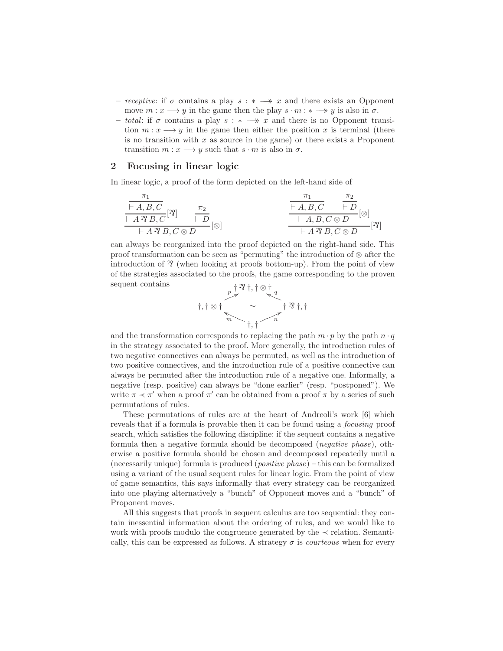- receptive: if  $\sigma$  contains a play  $s : * \longrightarrow x$  and there exists an Opponent move  $m: x \longrightarrow y$  in the game then the play  $s \cdot m: * \longrightarrow y$  is also in  $\sigma$ .
- $− total:$  if  $σ$  contains a play  $s : * \longrightarrow x$  and there is no Opponent transition  $m: x \longrightarrow y$  in the game then either the position x is terminal (there is no transition with  $x$  as source in the game) or there exists a Proponent transition  $m : x \longrightarrow y$  such that  $s \cdot m$  is also in  $\sigma$ .

#### 2 Focusing in linear logic

In linear logic, a proof of the form depicted on the left-hand side of

$$
\frac{\frac{\pi_1}{\vdash A, B, C}}{\vdash A \mathcal{B}, C} [\mathcal{B}] \qquad \frac{\pi_2}{\vdash D} \qquad \qquad \frac{\frac{\pi_1}{\vdash A, B, C} \qquad \frac{\pi_2}{\vdash D}}{\vdash A, B, C \otimes D} [\mathcal{B}] \qquad \qquad \frac{\vdash A, B, C \otimes D}{\vdash A, B, C \otimes D} [\mathcal{B}]
$$

can always be reorganized into the proof depicted on the right-hand side. This proof transformation can be seen as "permuting" the introduction of ⊗ after the introduction of  $\mathfrak{B}$  (when looking at proofs bottom-up). From the point of view of the strategies associated to the proofs, the game corresponding to the proven sequent contains  $\qquad \qquad$   $\qquad \qquad$   $\qquad \qquad$   $\qquad \qquad$   $\qquad \qquad$   $\qquad \qquad$   $\qquad \qquad$   $\qquad \qquad$   $\qquad \qquad$   $\qquad \qquad$   $\qquad \qquad$   $\qquad \qquad$   $\qquad \qquad$   $\qquad \qquad$   $\qquad \qquad$   $\qquad \qquad$   $\qquad \qquad$   $\qquad \qquad$   $\qquad \qquad$   $\qquad \qquad$   $\qquad \qquad$   $\qquad \qquad$   $\qquad \q$ 



and the transformation corresponds to replacing the path  $m \cdot p$  by the path  $n \cdot q$ in the strategy associated to the proof. More generally, the introduction rules of two negative connectives can always be permuted, as well as the introduction of two positive connectives, and the introduction rule of a positive connective can always be permuted after the introduction rule of a negative one. Informally, a negative (resp. positive) can always be "done earlier" (resp. "postponed"). We write  $\pi \prec \pi'$  when a proof  $\pi'$  can be obtained from a proof  $\pi$  by a series of such permutations of rules.

These permutations of rules are at the heart of Andreoli's work [\[6\]](#page-10-10) which reveals that if a formula is provable then it can be found using a focusing proof search, which satisfies the following discipline: if the sequent contains a negative formula then a negative formula should be decomposed (negative phase), otherwise a positive formula should be chosen and decomposed repeatedly until a (necessarily unique) formula is produced (*positive phase*) – this can be formalized using a variant of the usual sequent rules for linear logic. From the point of view of game semantics, this says informally that every strategy can be reorganized into one playing alternatively a "bunch" of Opponent moves and a "bunch" of Proponent moves.

All this suggests that proofs in sequent calculus are too sequential: they contain inessential information about the ordering of rules, and we would like to work with proofs modulo the congruence generated by the  $\prec$  relation. Semantically, this can be expressed as follows. A strategy  $\sigma$  is *courteous* when for every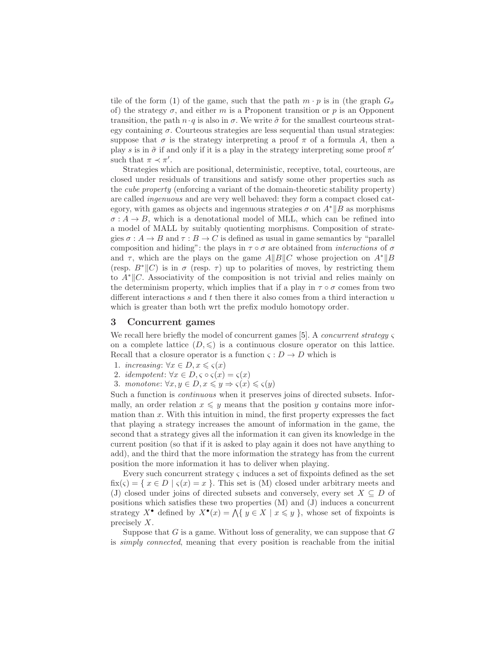tile of the form [\(1\)](#page-3-0) of the game, such that the path  $m \cdot p$  is in (the graph  $G_{\sigma}$ of) the strategy  $\sigma$ , and either m is a Proponent transition or p is an Opponent transition, the path  $n \cdot q$  is also in  $\sigma$ . We write  $\tilde{\sigma}$  for the smallest courteous strategy containing  $\sigma$ . Courteous strategies are less sequential than usual strategies: suppose that  $\sigma$  is the strategy interpreting a proof  $\pi$  of a formula A, then a play s is in  $\tilde{\sigma}$  if and only if it is a play in the strategy interpreting some proof  $\pi'$ such that  $\pi \prec \pi'$ .

Strategies which are positional, deterministic, receptive, total, courteous, are closed under residuals of transitions and satisfy some other properties such as the cube property (enforcing a variant of the domain-theoretic stability property) are called ingenuous and are very well behaved: they form a compact closed category, with games as objects and ingenuous strategies  $\sigma$  on  $A^*||B$  as morphisms  $\sigma: A \to B$ , which is a denotational model of MLL, which can be refined into a model of MALL by suitably quotienting morphisms. Composition of strategies  $\sigma: A \to B$  and  $\tau: B \to C$  is defined as usual in game semantics by "parallel composition and hiding": the plays in  $\tau \circ \sigma$  are obtained from *interactions* of  $\sigma$ and  $\tau$ , which are the plays on the game  $A||B||C$  whose projection on  $A^*||B$ (resp.  $B^*||C$ ) is in  $\sigma$  (resp.  $\tau$ ) up to polarities of moves, by restricting them to  $A^*||C$ . Associativity of the composition is not trivial and relies mainly on the determinism property, which implies that if a play in  $\tau \circ \sigma$  comes from two different interactions s and t then there it also comes from a third interaction  $u$ which is greater than both wrt the prefix modulo homotopy order.

#### 3 Concurrent games

We recall here briefly the model of concurrent games [\[5\]](#page-10-11). A *concurrent strategy*  $\varsigma$ on a complete lattice  $(D, \leqslant)$  is a continuous closure operator on this lattice. Recall that a closure operator is a function  $\varsigma: D \to D$  which is

- 1. increasing:  $\forall x \in D, x \leqslant \varsigma(x)$
- 2. *idempotent*:  $\forall x \in D, \varsigma \circ \varsigma(x) = \varsigma(x)$
- 3. monotone:  $\forall x, y \in D, x \leq y \Rightarrow \varsigma(x) \leq \varsigma(y)$

Such a function is continuous when it preserves joins of directed subsets. Informally, an order relation  $x \leq y$  means that the position y contains more information than  $x$ . With this intuition in mind, the first property expresses the fact that playing a strategy increases the amount of information in the game, the second that a strategy gives all the information it can given its knowledge in the current position (so that if it is asked to play again it does not have anything to add), and the third that the more information the strategy has from the current position the more information it has to deliver when playing.

Every such concurrent strategy  $\varsigma$  induces a set of fixpoints defined as the set  $fix(\zeta) = \{ x \in D \mid \zeta(x) = x \}.$  This set is (M) closed under arbitrary meets and (J) closed under joins of directed subsets and conversely, every set  $X \subseteq D$  of positions which satisfies these two properties (M) and (J) induces a concurrent strategy  $X^{\bullet}$  defined by  $X^{\bullet}(x) = \bigwedge \{ y \in X \mid x \leqslant y \}$ , whose set of fixpoints is precisely X.

Suppose that  $G$  is a game. Without loss of generality, we can suppose that  $G$ is simply connected, meaning that every position is reachable from the initial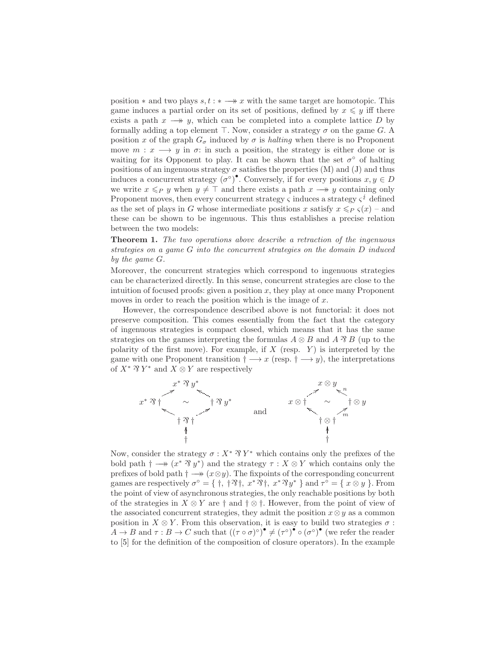position  $*$  and two plays  $s, t : * \longrightarrow x$  with the same target are homotopic. This game induces a partial order on its set of positions, defined by  $x \leq y$  iff there exists a path  $x \rightarrow y$ , which can be completed into a complete lattice D by formally adding a top element  $\top$ . Now, consider a strategy  $\sigma$  on the game G. A position x of the graph  $G_{\sigma}$  induced by  $\sigma$  is *halting* when there is no Proponent move  $m : x \longrightarrow y$  in  $\sigma$ : in such a position, the strategy is either done or is waiting for its Opponent to play. It can be shown that the set  $\sigma^{\circ}$  of halting positions of an ingenuous strategy  $\sigma$  satisfies the properties (M) and (J) and thus induces a concurrent strategy  $(\sigma^{\circ})^{\bullet}$ . Conversely, if for every positions  $x, y \in D$ we write  $x \leq_{P} y$  when  $y \neq \top$  and there exists a path  $x \rightarrow y$  containing only Proponent moves, then every concurrent strategy  $\varsigma$  induces a strategy  $\varsigma^{\frac{t}{2}}$  defined as the set of plays in G whose intermediate positions x satisfy  $x \leq P \zeta(x)$  – and these can be shown to be ingenuous. This thus establishes a precise relation between the two models:

Theorem 1. The two operations above describe a retraction of the ingenuous strategies on a game G into the concurrent strategies on the domain D induced by the game G.

Moreover, the concurrent strategies which correspond to ingenuous strategies can be characterized directly. In this sense, concurrent strategies are close to the intuition of focused proofs: given a position  $x$ , they play at once many Proponent moves in order to reach the position which is the image of  $x$ .

However, the correspondence described above is not functorial: it does not preserve composition. This comes essentially from the fact that the category of ingenuous strategies is compact closed, which means that it has the same strategies on the games interpreting the formulas  $A \otimes B$  and  $A \hat{\otimes} B$  (up to the polarity of the first move). For example, if  $X$  (resp.  $Y$ ) is interpreted by the game with one Proponent transition  $\dagger \longrightarrow x$  (resp.  $\dagger \longrightarrow y$ ), the interpretations of  $X^*$  <sup>2</sup>  $Y^*$  and  $X \otimes Y$  are respectively



Now, consider the strategy  $\sigma : X^* \mathcal{N} Y^*$  which contains only the prefixes of the bold path  $\dagger \longrightarrow (x^* \mathcal{R} y^*)$  and the strategy  $\tau : X \otimes Y$  which contains only the prefixes of bold path  $\dagger \longrightarrow (x \otimes y)$ . The fixpoints of the corresponding concurrent games are respectively  $\sigma^{\circ} = \{\dagger, \dagger \gamma \dagger, x^* \gamma \dagger, x^* \gamma y^* \}$  and  $\tau^{\circ} = \{ x \otimes y \}$ . From the point of view of asynchronous strategies, the only reachable positions by both of the strategies in  $X \otimes Y$  are † and †  $\otimes$  †. However, from the point of view of the associated concurrent strategies, they admit the position  $x \otimes y$  as a common position in  $X \otimes Y$ . From this observation, it is easy to build two strategies  $\sigma$ :  $A \to B$  and  $\tau : B \to C$  such that  $((\tau \circ \sigma)^{\circ})^{\bullet} \neq (\tau^{\circ})^{\bullet} \circ (\sigma^{\circ})^{\bullet}$  (we refer the reader to [\[5\]](#page-10-11) for the definition of the composition of closure operators). In the example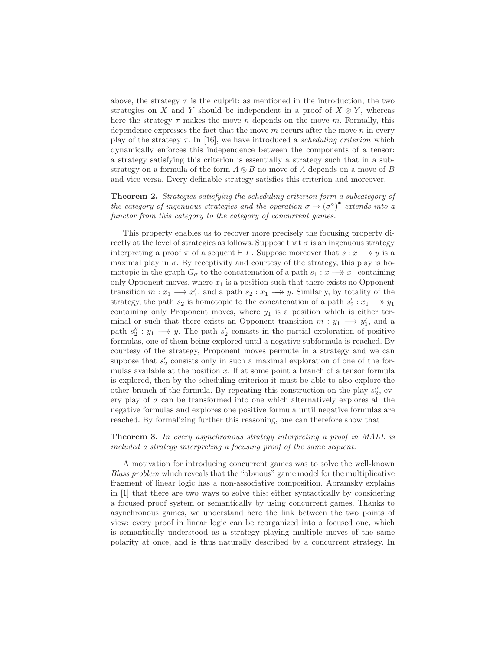above, the strategy  $\tau$  is the culprit: as mentioned in the introduction, the two strategies on X and Y should be independent in a proof of  $X \otimes Y$ , whereas here the strategy  $\tau$  makes the move n depends on the move m. Formally, this dependence expresses the fact that the move  $m$  occurs after the move  $n$  in every play of the strategy  $\tau$ . In [\[16\]](#page-10-13), we have introduced a *scheduling criterion* which dynamically enforces this independence between the components of a tensor: a strategy satisfying this criterion is essentially a strategy such that in a substrategy on a formula of the form  $A \otimes B$  no move of A depends on a move of B and vice versa. Every definable strategy satisfies this criterion and moreover,

#### Theorem 2. Strategies satisfying the scheduling criterion form a subcategory of the category of ingenuous strategies and the operation  $\sigma \mapsto (\sigma^{\circ})^{\bullet}$  extends into a functor from this category to the category of concurrent games.

This property enables us to recover more precisely the focusing property directly at the level of strategies as follows. Suppose that  $\sigma$  is an ingenuous strategy interpreting a proof  $\pi$  of a sequent  $\vdash \Gamma$ . Suppose moreover that  $s : x \longrightarrow y$  is a maximal play in  $\sigma$ . By receptivity and courtesy of the strategy, this play is homotopic in the graph  $G_{\sigma}$  to the concatenation of a path  $s_1 : x \longrightarrow x_1$  containing only Opponent moves, where  $x_1$  is a position such that there exists no Opponent transition  $m: x_1 \longrightarrow x'_1$ , and a path  $s_2: x_1 \longrightarrow y$ . Similarly, by totality of the strategy, the path  $s_2$  is homotopic to the concatenation of a path  $s'_2: x_1 \longrightarrow y_1$ containing only Proponent moves, where  $y_1$  is a position which is either terminal or such that there exists an Opponent transition  $m: y_1 \longrightarrow y'_1$ , and a path  $s_2' : y_1 \longrightarrow y$ . The path  $s_2'$  consists in the partial exploration of positive formulas, one of them being explored until a negative subformula is reached. By courtesy of the strategy, Proponent moves permute in a strategy and we can suppose that  $s_2'$  consists only in such a maximal exploration of one of the formulas available at the position  $x$ . If at some point a branch of a tensor formula is explored, then by the scheduling criterion it must be able to also explore the other branch of the formula. By repeating this construction on the play  $s_2^{\prime\prime}$ , every play of  $\sigma$  can be transformed into one which alternatively explores all the negative formulas and explores one positive formula until negative formulas are reached. By formalizing further this reasoning, one can therefore show that

#### <span id="page-9-0"></span>Theorem 3. In every asynchronous strategy interpreting a proof in MALL is included a strategy interpreting a focusing proof of the same sequent.

A motivation for introducing concurrent games was to solve the well-known Blass problem which reveals that the "obvious" game model for the multiplicative fragment of linear logic has a non-associative composition. Abramsky explains in [\[1\]](#page-10-17) that there are two ways to solve this: either syntactically by considering a focused proof system or semantically by using concurrent games. Thanks to asynchronous games, we understand here the link between the two points of view: every proof in linear logic can be reorganized into a focused one, which is semantically understood as a strategy playing multiple moves of the same polarity at once, and is thus naturally described by a concurrent strategy. In